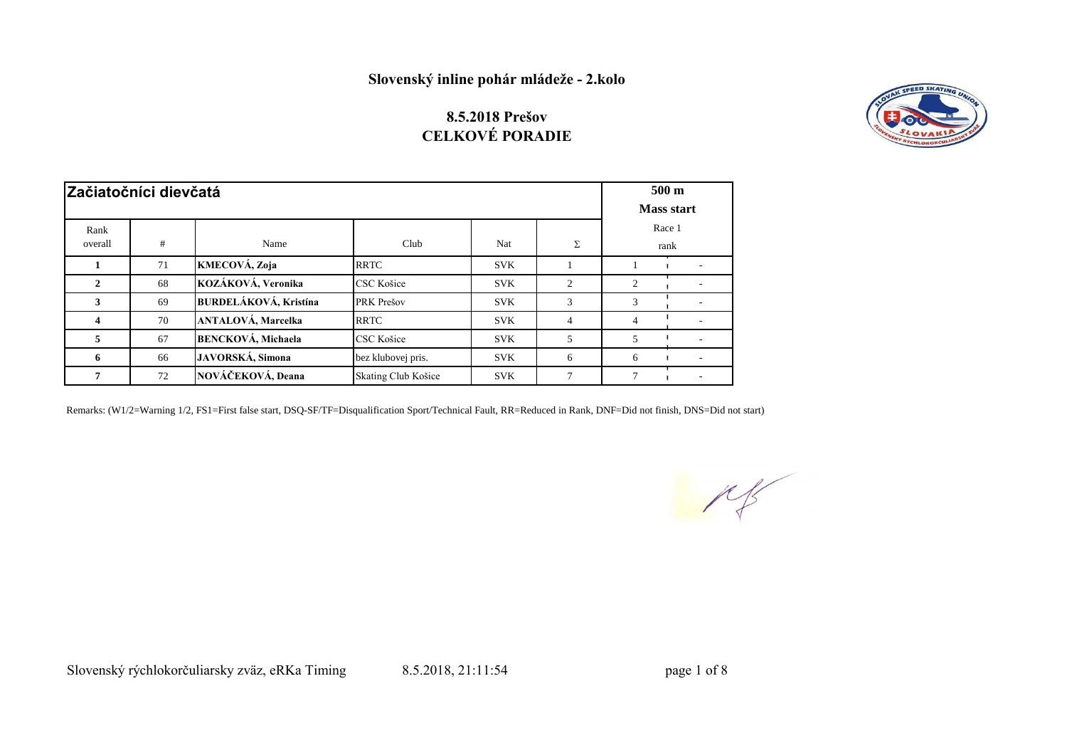## **8.5.2018 Prešov CELKOVÉ PORADIE**



| Začiatočníci dievčatá | 500 <sub>m</sub><br><b>Mass start</b> |                              |                     |            |                             |                |      |
|-----------------------|---------------------------------------|------------------------------|---------------------|------------|-----------------------------|----------------|------|
|                       |                                       |                              |                     |            |                             |                |      |
| Rank                  |                                       |                              |                     |            |                             | Race 1         |      |
| overall               | #                                     | Name                         | Club                | Nat        | Σ                           |                | rank |
|                       | 71                                    | KMECOVÁ, Zoja                | <b>RRTC</b>         | <b>SVK</b> |                             |                |      |
| 2                     | 68                                    | KOZÁKOVÁ, Veronika           | CSC Košice          | <b>SVK</b> | $\mathcal{D}_{\mathcal{L}}$ | $\overline{2}$ |      |
| 3                     | 69                                    | <b>BURDELÁKOVÁ, Kristína</b> | PRK Prešov          | <b>SVK</b> | 3                           | 3              |      |
| 4                     | 70                                    | <b>ANTALOVÁ, Marcelka</b>    | <b>RRTC</b>         | <b>SVK</b> | $\overline{4}$              | 4              |      |
| 5                     | 67                                    | <b>BENCKOVÁ</b> , Michaela   | CSC Košice          | <b>SVK</b> | 5                           | 5              |      |
| 6                     | 66                                    | JAVORSKÁ, Simona             | bez klubovej pris.  | <b>SVK</b> | 6                           | 6              |      |
|                       | 72                                    | NOVÁČEKOVÁ, Deana            | Skating Club Košice | <b>SVK</b> | $\mathcal{L}$               | 7              |      |

Remarks: (W1/2=Warning 1/2, FS1=First false start, DSQ-SF/TF=Disqualification Sport/Technical Fault, RR=Reduced in Rank, DNF=Did not finish, DNS=Did not start)

 $\mu$ 

Slovenský rýchlokorčuliarsky zväz, eRKa Timing 8.5.2018, 21:11:54 page 1 of 8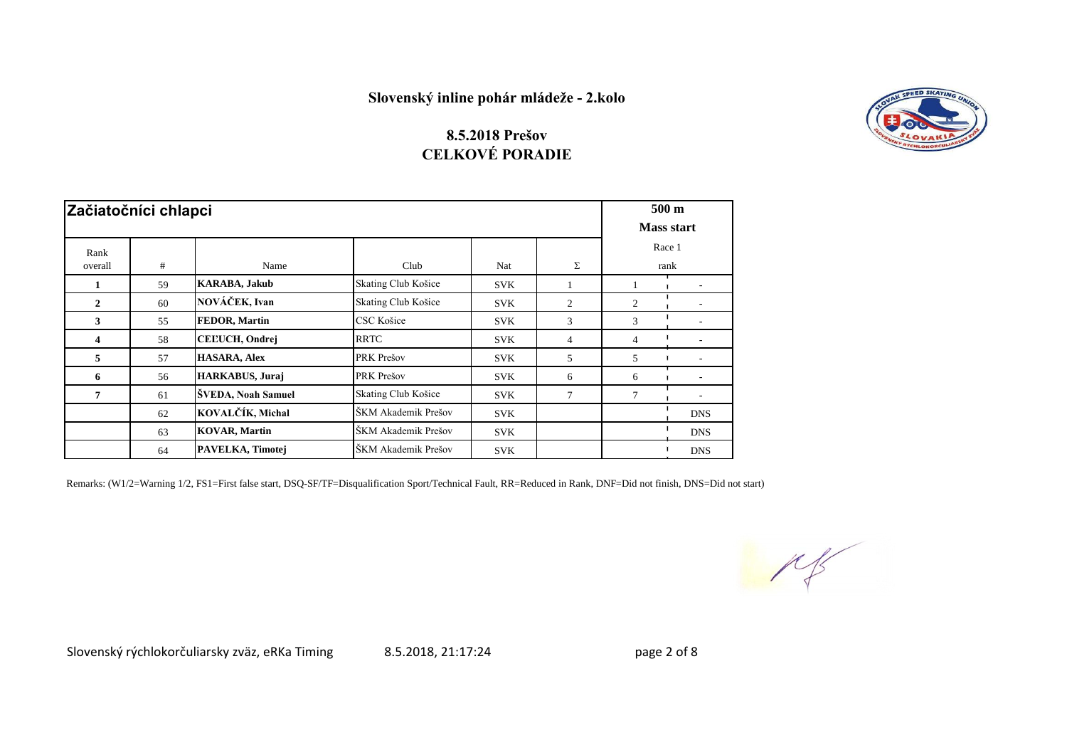

### **CELKOVÉ PORADIE 8.5.2018 Prešov**

| Začiatočníci chlapci |    |                       |                     |            |                |                | $500 \text{ m}$<br><b>Mass start</b> |  |  |
|----------------------|----|-----------------------|---------------------|------------|----------------|----------------|--------------------------------------|--|--|
| Rank<br>overall      | #  | Name                  | Club                | Nat        | Σ              | Race 1<br>rank |                                      |  |  |
| 1                    | 59 | <b>KARABA, Jakub</b>  | Skating Club Košice | <b>SVK</b> |                |                |                                      |  |  |
| $\mathbf{2}$         | 60 | NOVÁČEK, Ivan         | Skating Club Košice | <b>SVK</b> | $\overline{c}$ | $\overline{c}$ |                                      |  |  |
| 3                    | 55 | <b>FEDOR, Martin</b>  | CSC Košice          | <b>SVK</b> | 3              | 3              |                                      |  |  |
| 4                    | 58 | <b>CELUCH, Ondrej</b> | <b>RRTC</b>         | <b>SVK</b> | $\overline{4}$ | 4              |                                      |  |  |
| 5                    | 57 | <b>HASARA, Alex</b>   | PRK Prešov          | <b>SVK</b> | 5              | 5              |                                      |  |  |
| 6                    | 56 | HARKABUS, Juraj       | PRK Prešov          | <b>SVK</b> | 6              | 6              |                                      |  |  |
| $\overline{7}$       | 61 | ŠVEDA, Noah Samuel    | Skating Club Košice | <b>SVK</b> | 7              | $\overline{7}$ |                                      |  |  |
|                      | 62 | KOVALČÍK, Michal      | ŠKM Akademik Prešov | <b>SVK</b> |                |                | <b>DNS</b>                           |  |  |
|                      | 63 | <b>KOVAR, Martin</b>  | ŠKM Akademik Prešov | <b>SVK</b> |                |                | <b>DNS</b>                           |  |  |
|                      | 64 | PAVELKA, Timotej      | ŠKM Akademik Prešov | <b>SVK</b> |                |                | <b>DNS</b>                           |  |  |

Remarks: (W1/2=Warning 1/2, FS1=First false start, DSQ-SF/TF=Disqualification Sport/Technical Fault, RR=Reduced in Rank, DNF=Did not finish, DNS=Did not start)

 $M_{\rm s}$ 

Slovenský rýchlokorčuliarsky zväz, eRKa Timing  $\qquad 8.5.2018, 21:17:24$  page 2 of 8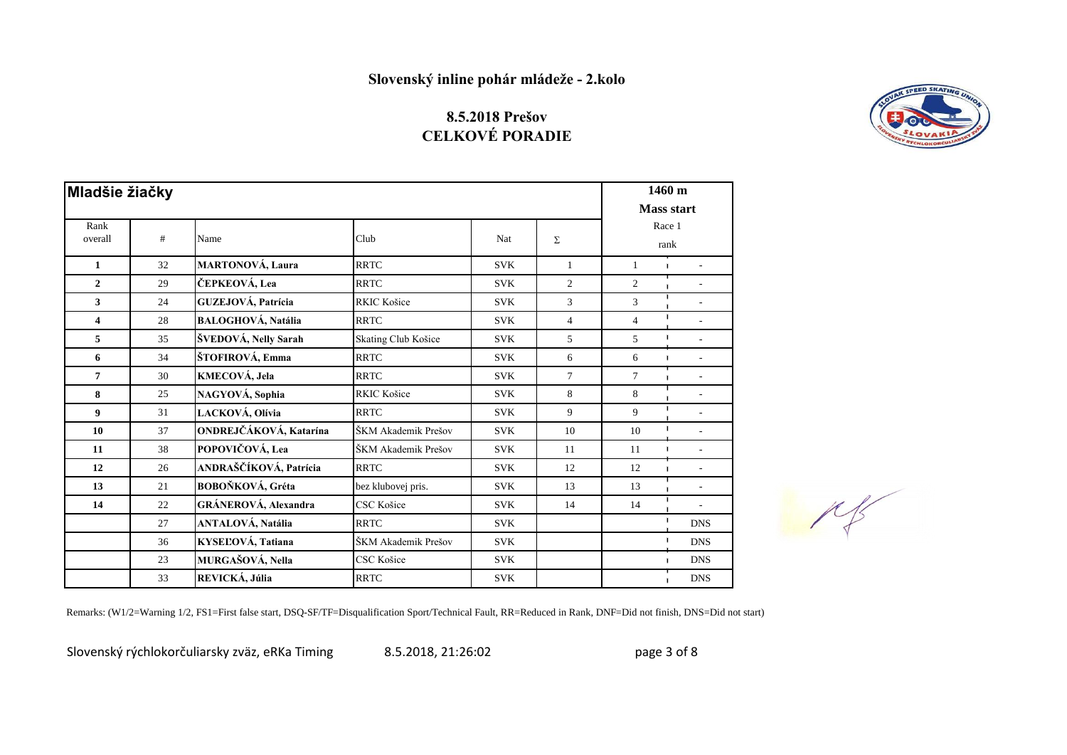## **8.5.2018 Prešov CELKOVÉ PORADIE**



|                         | <b>Mladšie žiačky</b> |                             |                     |            |                |                   |                                  |  |
|-------------------------|-----------------------|-----------------------------|---------------------|------------|----------------|-------------------|----------------------------------|--|
|                         |                       |                             |                     |            |                | <b>Mass start</b> |                                  |  |
| Rank                    |                       |                             |                     |            |                | Race 1            |                                  |  |
| overall                 | #                     | Name                        | Club                | Nat        | Σ              |                   | rank                             |  |
| 1                       | 32                    | <b>MARTONOVÁ, Laura</b>     | <b>RRTC</b>         | <b>SVK</b> | $\mathbf{1}$   | 1                 | $\blacksquare$                   |  |
| $\overline{2}$          | 29                    | ČEPKEOVÁ, Lea               | <b>RRTC</b>         | <b>SVK</b> | $\overline{2}$ | 2                 | $\blacksquare$                   |  |
| 3                       | 24                    | GUZEJOVÁ, Patrícia          | <b>RKIC Košice</b>  | <b>SVK</b> | 3              | 3                 |                                  |  |
| $\overline{\mathbf{4}}$ | 28                    | <b>BALOGHOVÁ, Natália</b>   | <b>RRTC</b>         | <b>SVK</b> | $\overline{4}$ | $\overline{4}$    | $\mathbf{I}$                     |  |
| 5                       | 35                    | ŠVEDOVÁ, Nelly Sarah        | Skating Club Košice | <b>SVK</b> | 5              | 5                 | $\sim$                           |  |
| 6                       | 34                    | ŠTOFIROVÁ, Emma             | <b>RRTC</b>         | <b>SVK</b> | 6              | 6                 | $\blacksquare$<br>$\mathbf{r}$   |  |
| 7                       | 30                    | KMECOVÁ, Jela               | <b>RRTC</b>         | <b>SVK</b> | $\overline{7}$ | $\tau$            | $\mathbf{I}$                     |  |
| 8                       | 25                    | NAGYOVÁ, Sophia             | <b>RKIC Košice</b>  | <b>SVK</b> | 8              | 8                 |                                  |  |
| 9                       | 31                    | LACKOVÁ, Olívia             | <b>RRTC</b>         | <b>SVK</b> | 9              | 9                 |                                  |  |
| 10                      | 37                    | ONDREJČÁKOVÁ, Katarína      | ŠKM Akademik Prešov | <b>SVK</b> | 10             | 10                | $\mathbf{I}$<br>÷.               |  |
| 11                      | 38                    | POPOVIČOVÁ, Lea             | ŠKM Akademik Prešov | <b>SVK</b> | 11             | 11                | $\mathbf{I}$<br>$\mathbf{r}$     |  |
| 12                      | 26                    | ANDRAŠČÍKOVÁ, Patrícia      | <b>RRTC</b>         | <b>SVK</b> | 12             | 12                | $\blacksquare$<br>$\blacksquare$ |  |
| 13                      | 21                    | BOBOŇKOVÁ, Gréta            | bez klubovej pris.  | <b>SVK</b> | 13             | 13                |                                  |  |
| 14                      | 22                    | <b>GRÁNEROVÁ, Alexandra</b> | CSC Košice          | <b>SVK</b> | 14             | 14                |                                  |  |
|                         | 27                    | <b>ANTALOVÁ, Natália</b>    | <b>RRTC</b>         | <b>SVK</b> |                |                   | $\blacksquare$<br><b>DNS</b>     |  |
|                         | 36                    | KYSEĽOVÁ, Tatiana           | ŠKM Akademik Prešov | <b>SVK</b> |                |                   | $\blacksquare$<br><b>DNS</b>     |  |
|                         | 23                    | MURGAŠOVÁ, Nella            | CSC Košice          | <b>SVK</b> |                |                   | <b>DNS</b><br>$\blacksquare$     |  |
|                         | 33                    | REVICKÁ, Júlia              | <b>RRTC</b>         | <b>SVK</b> |                |                   | <b>DNS</b>                       |  |



Remarks: (W1/2=Warning 1/2, FS1=First false start, DSQ-SF/TF=Disqualification Sport/Technical Fault, RR=Reduced in Rank, DNF=Did not finish, DNS=Did not start)

Slovenský rýchlokorčuliarsky zväz, eRKa Timing  $\qquad 8.5.2018, 21:26:02$  page 3 of 8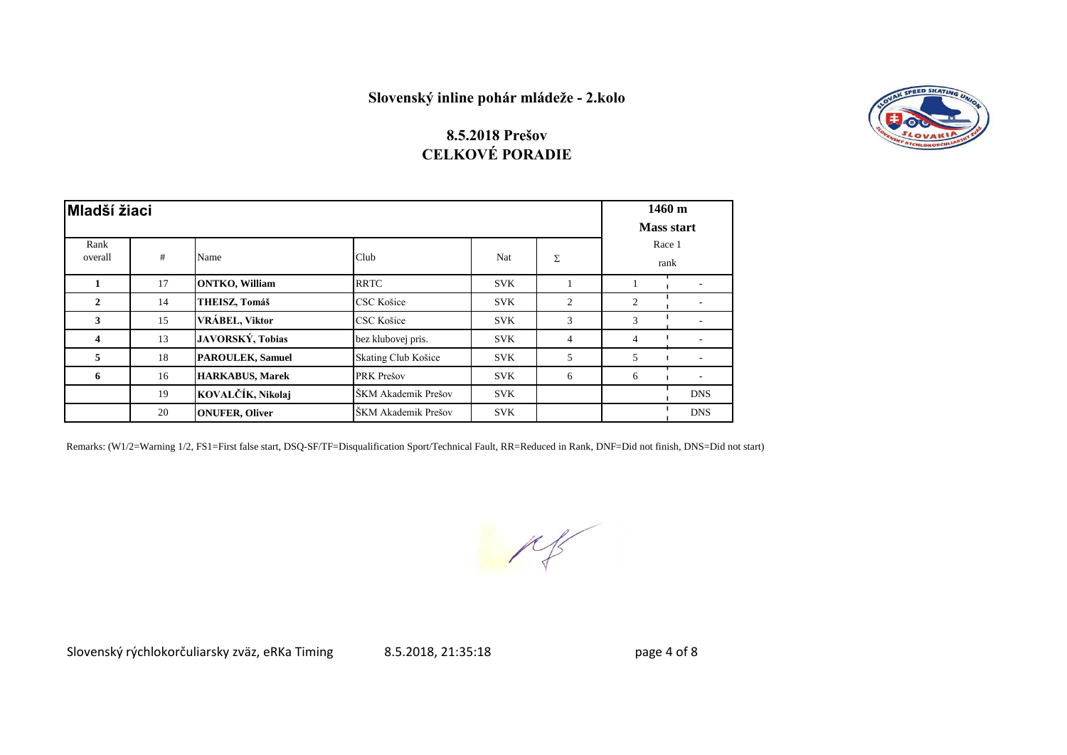

#### **8.5.2018 Prešov CELKOVÉ PORADIE**

| <b>Mladší žiaci</b> |    |                         |                     |            |                |                | 1460 m<br><b>Mass start</b> |  |
|---------------------|----|-------------------------|---------------------|------------|----------------|----------------|-----------------------------|--|
| Rank<br>overall     | #  | Name                    | Club<br>Nat         | Σ          | Race 1<br>rank |                |                             |  |
|                     | 17 | <b>ONTKO, William</b>   | <b>RRTC</b>         | <b>SVK</b> |                |                |                             |  |
| $\mathbf{2}$        | 14 | THEISZ, Tomáš           | CSC Košice          | <b>SVK</b> | $\overline{2}$ | $\overline{2}$ |                             |  |
| $\mathbf{3}$        | 15 | VRÁBEL, Viktor          | CSC Košice          | <b>SVK</b> | 3              | 3              |                             |  |
| 4                   | 13 | JAVORSKÝ, Tobias        | bez klubovej pris.  | <b>SVK</b> | $\overline{4}$ | $\overline{4}$ |                             |  |
| 5                   | 18 | <b>PAROULEK, Samuel</b> | Skating Club Košice | <b>SVK</b> | 5              | 5              |                             |  |
| 6                   | 16 | <b>HARKABUS, Marek</b>  | PRK Prešov          | <b>SVK</b> | 6              | 6              |                             |  |
|                     | 19 | KOVALČÍK, Nikolaj       | ŠKM Akademik Prešov | <b>SVK</b> |                |                | <b>DNS</b>                  |  |
|                     | 20 | <b>ONUFER, Oliver</b>   | ŠKM Akademik Prešov | <b>SVK</b> |                |                | <b>DNS</b>                  |  |

Remarks: (W1/2=Warning 1/2, FS1=First false start, DSQ-SF/TF=Disqualification Sport/Technical Fault, RR=Reduced in Rank, DNF=Did not finish, DNS=Did not start)

 $M_{\odot}$ 

Slovenský rýchlokorčuliarsky zväz, eRKa Timing  $\qquad 8.5.2018, 21:35:18$  page 4 of 8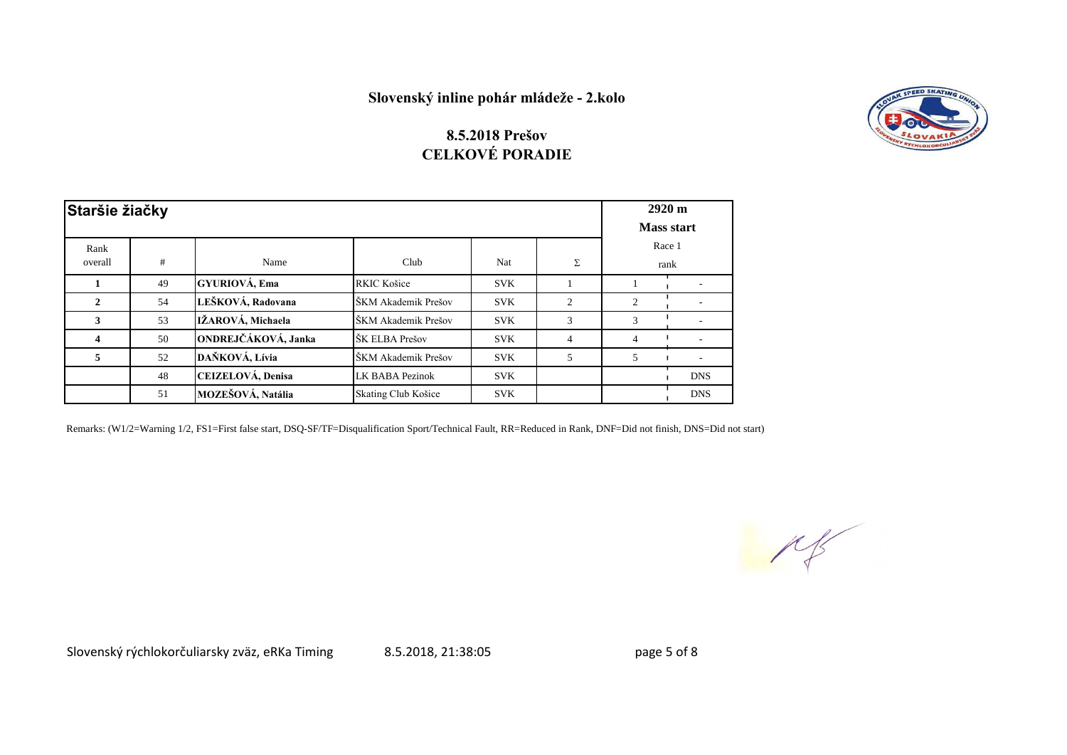

### **8.5.2018 Prešov CELKOVÉ PORADIE**

|                 | Staršie žiačky |                            |                     |            |                |   |                |  |
|-----------------|----------------|----------------------------|---------------------|------------|----------------|---|----------------|--|
| Rank<br>overall | #              | Name                       | Club                | Nat        | Σ              |   | Race 1<br>rank |  |
|                 | 49             | <b>GYURIOVÁ, Ema</b>       | <b>RKIC Košice</b>  | <b>SVK</b> |                |   |                |  |
| 2               | 54             | LEŠKOVÁ, Radovana          | ŠKM Akademik Prešov | <b>SVK</b> | $\overline{2}$ | 2 |                |  |
| 3               | 53             | IŽAROVÁ, Michaela          | ŠKM Akademik Prešov | <b>SVK</b> | 3              | 3 |                |  |
| 4               | 50             | <b>ONDREJČÁKOVÁ, Janka</b> | ŠK ELBA Prešov      | <b>SVK</b> | $\overline{4}$ | 4 |                |  |
| 5               | 52             | DAŇKOVÁ, Lívia             | ŠKM Akademik Prešov | <b>SVK</b> | 5              | 5 | ٠              |  |
|                 | 48             | CEIZELOVÁ, Denisa          | LK BABA Pezinok     | <b>SVK</b> |                |   | <b>DNS</b>     |  |
|                 | 51             | MOZEŠOVÁ, Natália          | Skating Club Košice | <b>SVK</b> |                |   | <b>DNS</b>     |  |

Remarks: (W1/2=Warning 1/2, FS1=First false start, DSQ-SF/TF=Disqualification Sport/Technical Fault, RR=Reduced in Rank, DNF=Did not finish, DNS=Did not start)

 $M$ 

Slovenský rýchlokorčuliarsky zväz, eRKa Timing  $\qquad 8.5.2018, 21:38:05$  page 5 of 8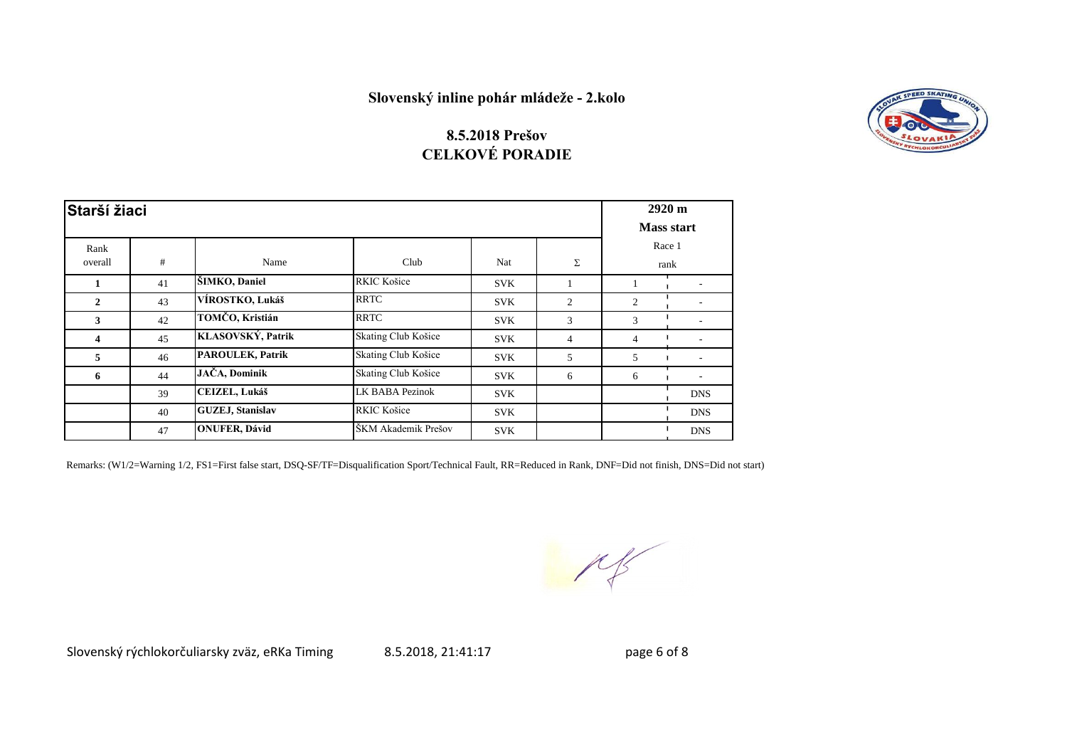### **8.5.2018 Prešov CELKOVÉ PORADIE**

| Starší žiaci |    |                          |                        |            |                | $2920 \text{ m}$ |                   |
|--------------|----|--------------------------|------------------------|------------|----------------|------------------|-------------------|
|              |    |                          |                        |            |                |                  | <b>Mass start</b> |
| Rank         |    |                          |                        |            |                |                  | Race 1            |
| overall      | #  | Name                     | Club                   | Nat        | Σ              |                  | rank              |
|              | 41 | ŠIMKO, Daniel            | RKIC Košice            | <b>SVK</b> |                |                  |                   |
| 2            | 43 | VÍROSTKO, Lukáš          | <b>RRTC</b>            | <b>SVK</b> | 2              | 2                |                   |
| 3            | 42 | TOMČO, Kristián          | <b>RRTC</b>            | <b>SVK</b> | 3              | 3                |                   |
| 4            | 45 | KLASOVSKÝ, Patrik        | Skating Club Košice    | <b>SVK</b> | $\overline{4}$ | $\overline{4}$   |                   |
| 5            | 46 | <b>PAROULEK, Patrik</b>  | Skating Club Košice    | <b>SVK</b> | 5              | 5                |                   |
| 6            | 44 | JAČA, Dominik            | Skating Club Košice    | <b>SVK</b> | 6              | 6                |                   |
|              | 39 | <b>CEIZEL, Lukáš</b>     | <b>LK BABA Pezinok</b> | <b>SVK</b> |                |                  | <b>DNS</b>        |
|              | 40 | <b>GUZEJ</b> , Stanislav | RKIC Košice            | <b>SVK</b> |                |                  | <b>DNS</b>        |
|              | 47 | <b>ONUFER, Dávid</b>     | ŠKM Akademik Prešov    | <b>SVK</b> |                |                  | <b>DNS</b>        |

Remarks: (W1/2=Warning 1/2, FS1=First false start, DSQ-SF/TF=Disqualification Sport/Technical Fault, RR=Reduced in Rank, DNF=Did not finish, DNS=Did not start)

Slovenský rýchlokorčuliarsky zväz, eRKa Timing 8.5.2018, 21:41:17 page 6 of 8

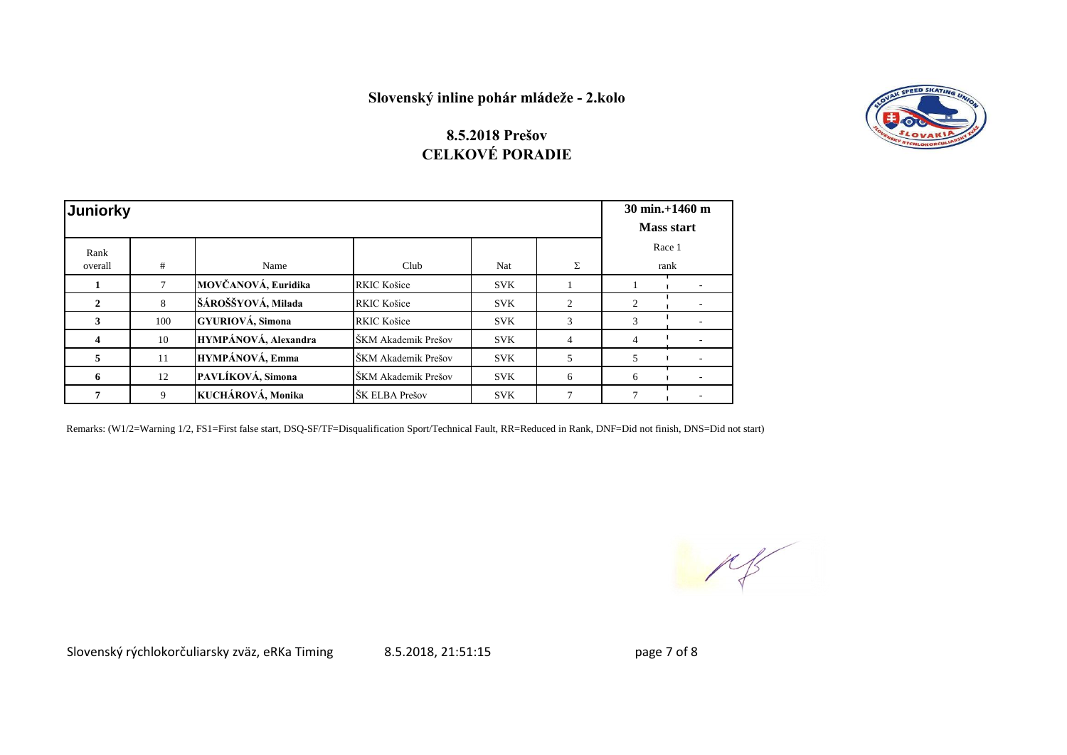

### **8.5.2018 Prešov CELKOVÉ PORADIE**

| Juniorky | $30 \text{ min.} + 1460 \text{ m}$<br><b>Mass start</b> |                        |                     |            |                             |   |        |
|----------|---------------------------------------------------------|------------------------|---------------------|------------|-----------------------------|---|--------|
| Rank     |                                                         |                        |                     |            |                             |   | Race 1 |
| overall  | #                                                       | Name                   | Club                | Nat        | Σ                           |   | rank   |
|          |                                                         | MOVČANOVÁ, Euridika    | <b>RKIC Košice</b>  | <b>SVK</b> |                             |   |        |
| 2        | 8                                                       | ŠÁROŠŠYOVÁ, Milada     | <b>RKIC Košice</b>  | <b>SVK</b> | $\mathcal{D}_{\mathcal{L}}$ | 2 |        |
| 3        | 100                                                     | GYURIOVÁ, Simona       | <b>RKIC Košice</b>  | <b>SVK</b> | 3                           | 3 |        |
| 4        | 10                                                      | HYMPÁNOVÁ, Alexandra   | ŠKM Akademik Prešov | <b>SVK</b> | $\overline{4}$              | 4 |        |
| 5        | 11                                                      | <b>HYMPÁNOVÁ, Emma</b> | ŠKM Akademik Prešov | <b>SVK</b> | 5                           | 5 |        |
| 6        | 12                                                      | PAVLÍKOVÁ, Simona      | ŠKM Akademik Prešov | <b>SVK</b> | 6                           | 6 |        |
| 7        | 9                                                       | KUCHÁROVÁ, Monika      | ŠK ELBA Prešov      | <b>SVK</b> | $\overline{7}$              | 7 |        |

Remarks: (W1/2=Warning 1/2, FS1=First false start, DSQ-SF/TF=Disqualification Sport/Technical Fault, RR=Reduced in Rank, DNF=Did not finish, DNS=Did not start)

 $M_{\rm p}$ 

Slovenský rýchlokorčuliarsky zväz, eRKa Timing  $\qquad 8.5.2018, 21:51:15$  page 7 of 8